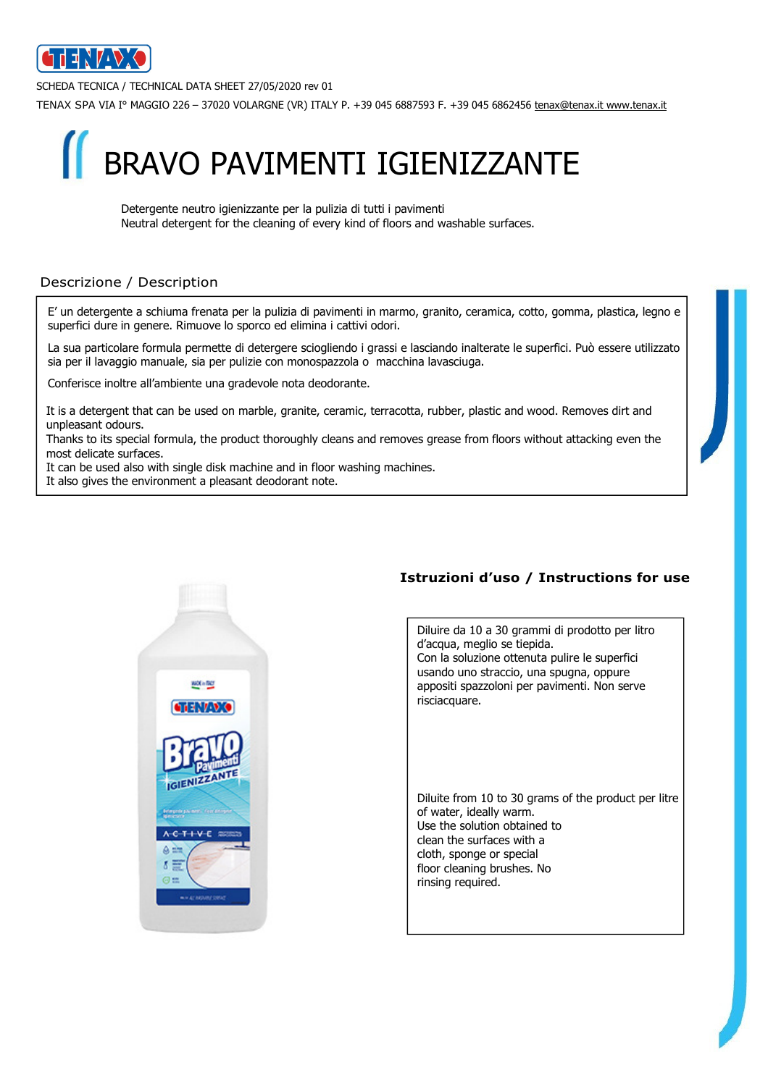

SCHEDA TECNICA / TECHNICAL DATA SHEET 27/05/2020 rev 01

TENAX SPA VIA I° MAGGIO 226 – 37020 VOLARGNE (VR) ITALY P. +39 045 6887593 F. +39 045 6862456 tenax@tenax.it www.tenax.it



 Detergente neutro igienizzante per la pulizia di tutti i pavimenti Neutral detergent for the cleaning of every kind of floors and washable surfaces.

## Descrizione / Description

E' un detergente a schiuma frenata per la pulizia di pavimenti in marmo, granito, ceramica, cotto, gomma, plastica, legno e superfici dure in genere. Rimuove lo sporco ed elimina i cattivi odori.

La sua particolare formula permette di detergere sciogliendo i grassi e lasciando inalterate le superfici. Può essere utilizzato sia per il lavaggio manuale, sia per pulizie con monospazzola o macchina lavasciuga.

Conferisce inoltre all'ambiente una gradevole nota deodorante.

It is a detergent that can be used on marble, granite, ceramic, terracotta, rubber, plastic and wood. Removes dirt and unpleasant odours.

Thanks to its special formula, the product thoroughly cleans and removes grease from floors without attacking even the most delicate surfaces.

It can be used also with single disk machine and in floor washing machines.

It also gives the environment a pleasant deodorant note.



## Istruzioni d'uso / Instructions for use

Diluire da 10 a 30 grammi di prodotto per litro d'acqua, meglio se tiepida. Con la soluzione ottenuta pulire le superfici usando uno straccio, una spugna, oppure appositi spazzoloni per pavimenti. Non serve risciacquare.

Diluite from 10 to 30 grams of the product per litre of water, ideally warm. Use the solution obtained to clean the surfaces with a cloth, sponge or special floor cleaning brushes. No rinsing required.